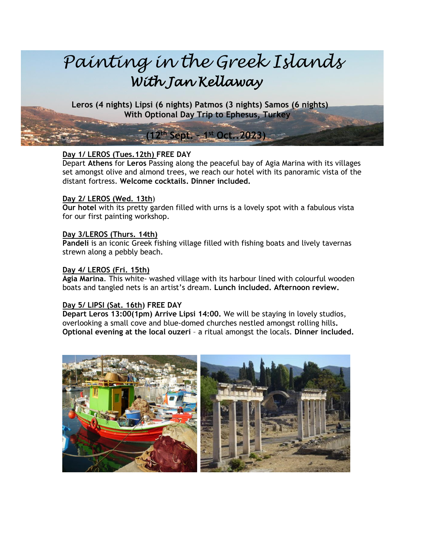

 **Leros (4 nights) Lipsi (6 nights) Patmos (3 nights) Samos (6 nights)** **With Optional Day Trip to Ephesus, Turkey**

## **Day 1/ LEROS (Tues.12th) FREE DAY**

**. (12 th Sept. – 1 st Oct..2023)**

Depart **Athens** for **Leros** Passing along the peaceful bay of Agia Marina with its villages set amongst olive and almond trees, we reach our hotel with its panoramic vista of the distant fortress. **Welcome cocktails. Dinner included.**

#### **Day 2/ LEROS (Wed. 13th**)

**Our hotel** with its pretty garden filled with urns is a lovely spot with a fabulous vista for our first painting workshop.

#### **Day 3/LEROS (Thurs. 14th)**

**Pandeli** is an iconic Greek fishing village filled with fishing boats and lively tavernas strewn along a pebbly beach.

#### **Day 4/ LEROS (Fri. 15th)**

**Agia Marina**. This white- washed village with its harbour lined with colourful wooden boats and tangled nets is an artist's dream. **Lunch included. Afternoon review.**

#### **Day 5/ LIPSI (Sat. 16th) FREE DAY**

**Depart Leros 13:00(1pm) Arrive Lipsi 14:00.** We will be staying in lovely studios, overlooking a small cove and blue-domed churches nestled amongst rolling hills**. Optional evening at the local ouzeri** – a ritual amongst the locals. **Dinner included.**

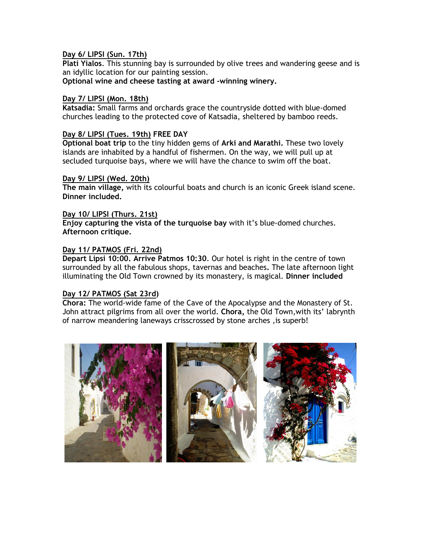## **Day 6/ LIPSI (Sun. 17th)**

**Plati Yialos**. This stunning bay is surrounded by olive trees and wandering geese and is an idyllic location for our painting session.

**Optional wine and cheese tasting at award -winning winery.**

## **Day 7/ LIPSI (Mon. 18th)**

**Katsadia:** Small farms and orchards grace the countryside dotted with blue-domed churches leading to the protected cove of Katsadia, sheltered by bamboo reeds.

### **Day 8/ LIPSI (Tues. 19th) FREE DAY**

**Optional boat trip** to the tiny hidden gems of **Arki and Marathi.** These two lovely islands are inhabited by a handful of fishermen. On the way, we will pull up at secluded turquoise bays, where we will have the chance to swim off the boat.

#### **Day 9/ LIPSI (Wed. 20th)**

**The main village,** with its colourful boats and church is an iconic Greek island scene. **Dinner included.**

## **Day 10/ LIPSI (Thurs. 21st)**

**Enjoy capturing the vista of the turquoise bay** with it's blue-domed churches. **Afternoon critique.**

## **Day 11/ PATMOS (Fri. 22nd)**

**Depart Lipsi 10:00. Arrive Patmos 10:30**. Our hotel is right in the centre of town surrounded by all the fabulous shops, tavernas and beaches**.** The late afternoon light illuminating the Old Town crowned by its monastery, is magical. **Dinner included**

#### **Day 12/ PATMOS (Sat 23rd)**

**Chora:** The world-wide fame of the Cave of the Apocalypse and the Monastery of St. John attract pilgrims from all over the world. **Chora,** the Old Town,with its' labrynth of narrow meandering laneways crisscrossed by stone arches ,is superb!